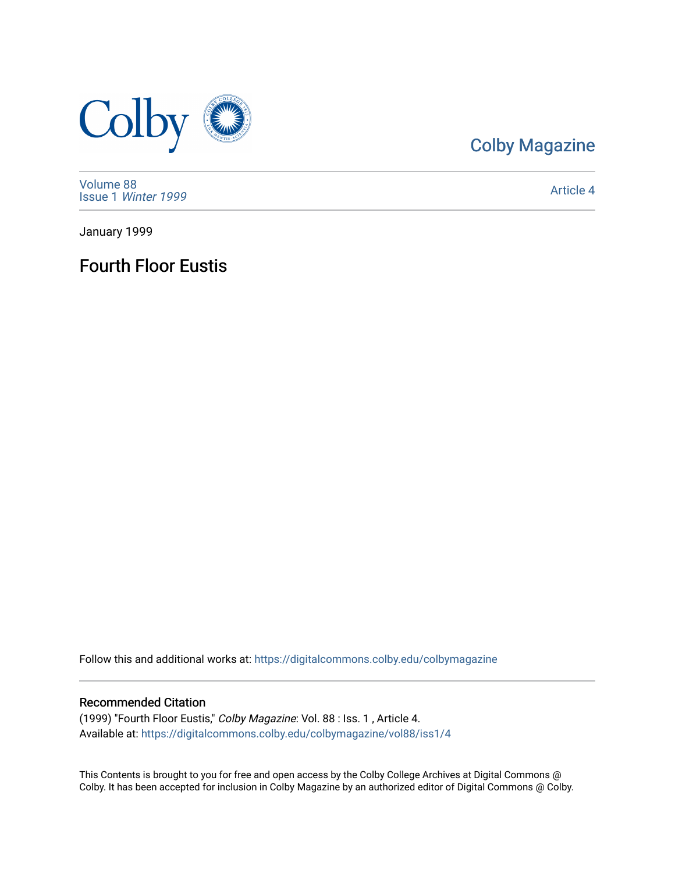

## [Colby Magazine](https://digitalcommons.colby.edu/colbymagazine)

[Volume 88](https://digitalcommons.colby.edu/colbymagazine/vol88) Issue 1 [Winter 1999](https://digitalcommons.colby.edu/colbymagazine/vol88/iss1) 

[Article 4](https://digitalcommons.colby.edu/colbymagazine/vol88/iss1/4) 

January 1999

Fourth Floor Eustis

Follow this and additional works at: [https://digitalcommons.colby.edu/colbymagazine](https://digitalcommons.colby.edu/colbymagazine?utm_source=digitalcommons.colby.edu%2Fcolbymagazine%2Fvol88%2Fiss1%2F4&utm_medium=PDF&utm_campaign=PDFCoverPages)

#### Recommended Citation

(1999) "Fourth Floor Eustis," Colby Magazine: Vol. 88 : Iss. 1 , Article 4. Available at: [https://digitalcommons.colby.edu/colbymagazine/vol88/iss1/4](https://digitalcommons.colby.edu/colbymagazine/vol88/iss1/4?utm_source=digitalcommons.colby.edu%2Fcolbymagazine%2Fvol88%2Fiss1%2F4&utm_medium=PDF&utm_campaign=PDFCoverPages)

This Contents is brought to you for free and open access by the Colby College Archives at Digital Commons @ Colby. It has been accepted for inclusion in Colby Magazine by an authorized editor of Digital Commons @ Colby.